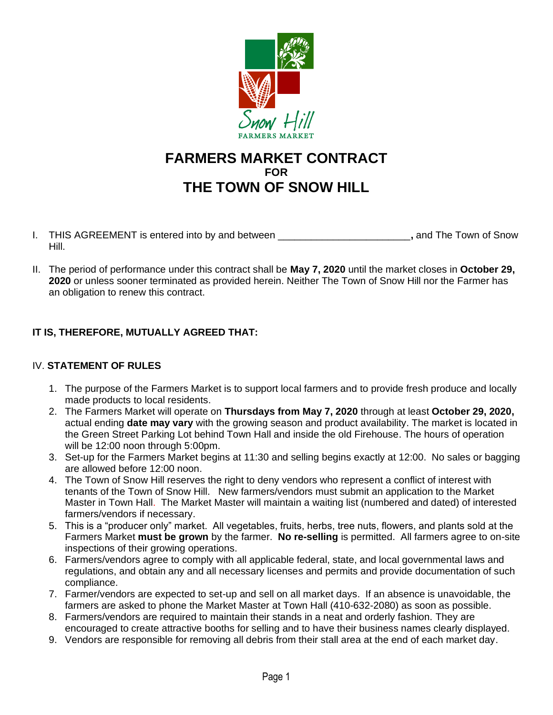

# **FARMERS MARKET CONTRACT FOR THE TOWN OF SNOW HILL**

- I. THIS AGREEMENT is entered into by and between \_\_\_\_\_\_\_\_\_\_\_\_\_\_\_\_\_\_\_\_\_\_\_\_**,** and The Town of Snow Hill.
- II. The period of performance under this contract shall be **May 7, 2020** until the market closes in **October 29, 2020** or unless sooner terminated as provided herein. Neither The Town of Snow Hill nor the Farmer has an obligation to renew this contract.

## **IT IS, THEREFORE, MUTUALLY AGREED THAT:**

## IV. **STATEMENT OF RULES**

- 1. The purpose of the Farmers Market is to support local farmers and to provide fresh produce and locally made products to local residents.
- 2. The Farmers Market will operate on **Thursdays from May 7, 2020** through at least **October 29, 2020,** actual ending **date may vary** with the growing season and product availability. The market is located in the Green Street Parking Lot behind Town Hall and inside the old Firehouse. The hours of operation will be 12:00 noon through 5:00pm.
- 3. Set-up for the Farmers Market begins at 11:30 and selling begins exactly at 12:00. No sales or bagging are allowed before 12:00 noon.
- 4. The Town of Snow Hill reserves the right to deny vendors who represent a conflict of interest with tenants of the Town of Snow Hill. New farmers/vendors must submit an application to the Market Master in Town Hall. The Market Master will maintain a waiting list (numbered and dated) of interested farmers/vendors if necessary.
- 5. This is a "producer only" market. All vegetables, fruits, herbs, tree nuts, flowers, and plants sold at the Farmers Market **must be grown** by the farmer. **No re-selling** is permitted. All farmers agree to on-site inspections of their growing operations.
- 6. Farmers/vendors agree to comply with all applicable federal, state, and local governmental laws and regulations, and obtain any and all necessary licenses and permits and provide documentation of such compliance.
- 7. Farmer/vendors are expected to set-up and sell on all market days. If an absence is unavoidable, the farmers are asked to phone the Market Master at Town Hall (410-632-2080) as soon as possible.
- 8. Farmers/vendors are required to maintain their stands in a neat and orderly fashion. They are encouraged to create attractive booths for selling and to have their business names clearly displayed.
- 9. Vendors are responsible for removing all debris from their stall area at the end of each market day.